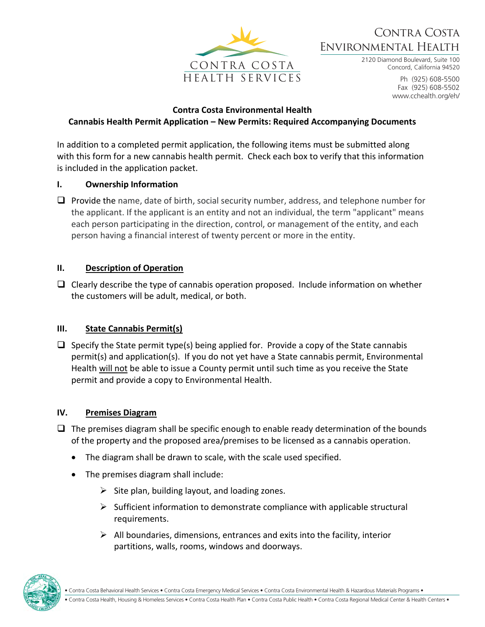

# Contra Costa Environmental Health

2120 Diamond Boulevard, Suite 100 Concord, California 94520

> Ph (925) 608-5500 Fax (925) 608-5502 www.cchealth.org/eh/

#### **Contra Costa Environmental Health**

# **Cannabis Health Permit Application – New Permits: Required Accompanying Documents**

In addition to a completed permit application, the following items must be submitted along with this form for a new cannabis health permit. Check each box to verify that this information is included in the application packet.

#### **I. Ownership Information**

❑ Provide the name, date of birth, social security number, address, and telephone number for the applicant. If the applicant is an entity and not an individual, the term "applicant" means each person participating in the direction, control, or management of the entity, and each person having a financial interest of twenty percent or more in the entity.

#### **II. Description of Operation**

 $\Box$  Clearly describe the type of cannabis operation proposed. Include information on whether the customers will be adult, medical, or both.

### **III. State Cannabis Permit(s)**

 $\Box$  Specify the State permit type(s) being applied for. Provide a copy of the State cannabis permit(s) and application(s). If you do not yet have a State cannabis permit, Environmental Health will not be able to issue a County permit until such time as you receive the State permit and provide a copy to Environmental Health.

### **IV. Premises Diagram**

- $\Box$  The premises diagram shall be specific enough to enable ready determination of the bounds of the property and the proposed area/premises to be licensed as a cannabis operation.
	- The diagram shall be drawn to scale, with the scale used specified.
	- The premises diagram shall include:
		- $\triangleright$  Site plan, building layout, and loading zones.
		- $\triangleright$  Sufficient information to demonstrate compliance with applicable structural requirements.
		- $\triangleright$  All boundaries, dimensions, entrances and exits into the facility, interior partitions, walls, rooms, windows and doorways.

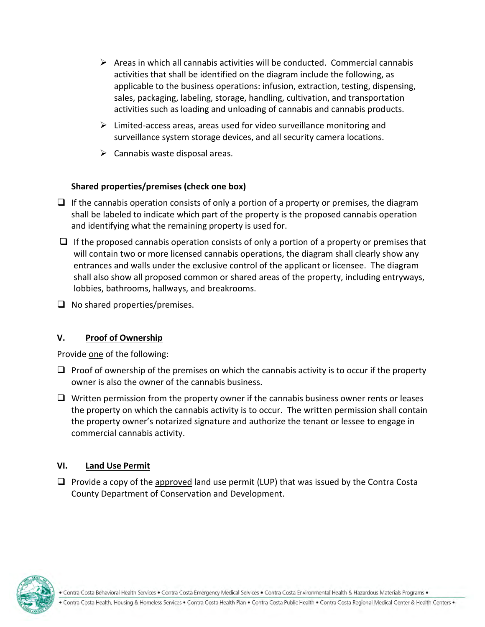- $\triangleright$  Areas in which all cannabis activities will be conducted. Commercial cannabis activities that shall be identified on the diagram include the following, as applicable to the business operations: infusion, extraction, testing, dispensing, sales, packaging, labeling, storage, handling, cultivation, and transportation activities such as loading and unloading of cannabis and cannabis products.
- ➢ Limited-access areas, areas used for video surveillance monitoring and surveillance system storage devices, and all security camera locations.
- $\triangleright$  Cannabis waste disposal areas.

# **Shared properties/premises (check one box)**

- $\Box$  If the cannabis operation consists of only a portion of a property or premises, the diagram shall be labeled to indicate which part of the property is the proposed cannabis operation and identifying what the remaining property is used for.
- $\Box$  If the proposed cannabis operation consists of only a portion of a property or premises that will contain two or more licensed cannabis operations, the diagram shall clearly show any entrances and walls under the exclusive control of the applicant or licensee. The diagram shall also show all proposed common or shared areas of the property, including entryways, lobbies, bathrooms, hallways, and breakrooms.
- ❑ No shared properties/premises.

### **V. Proof of Ownership**

Provide one of the following:

- $\Box$  Proof of ownership of the premises on which the cannabis activity is to occur if the property owner is also the owner of the cannabis business.
- $\Box$  Written permission from the property owner if the cannabis business owner rents or leases the property on which the cannabis activity is to occur. The written permission shall contain the property owner's notarized signature and authorize the tenant or lessee to engage in commercial cannabis activity.

### **VI. Land Use Permit**

 $\Box$  Provide a copy of the approved land use permit (LUP) that was issued by the Contra Costa County Department of Conservation and Development.